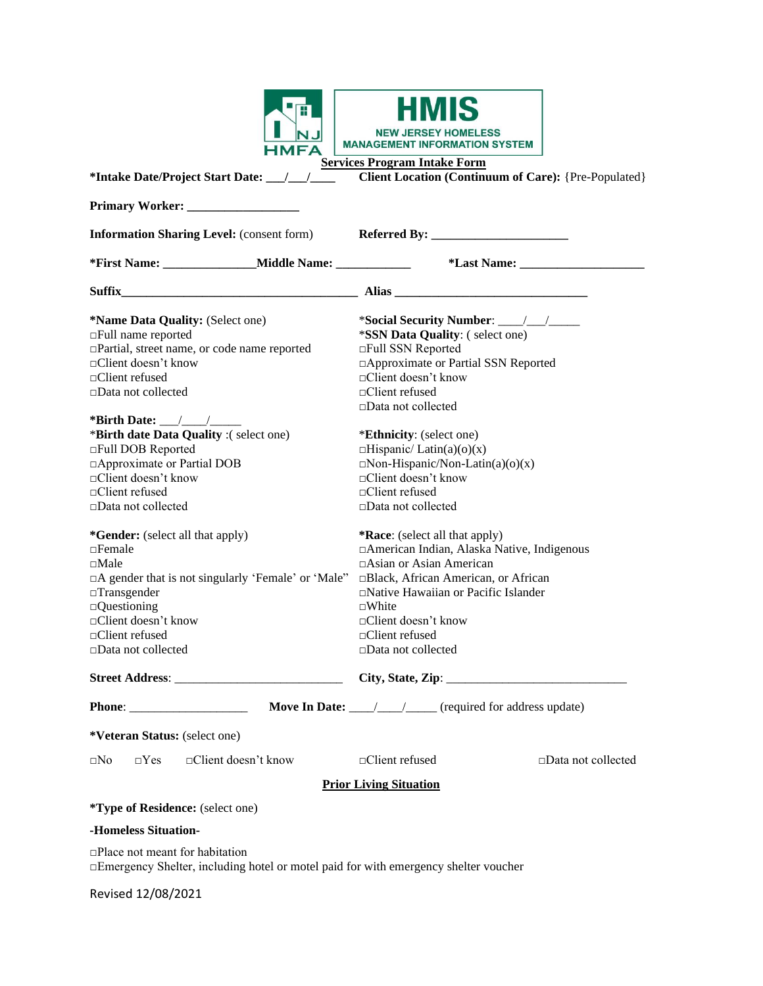|                                                                                                                                                                                                                                             | <b>NEW JERSEY HOMELESS</b><br><b>MANAGEMENT INFORMATION SYSTEM</b>                                                                                                                                                                                                                          |
|---------------------------------------------------------------------------------------------------------------------------------------------------------------------------------------------------------------------------------------------|---------------------------------------------------------------------------------------------------------------------------------------------------------------------------------------------------------------------------------------------------------------------------------------------|
|                                                                                                                                                                                                                                             | <b>Services Program Intake Form</b><br><b>Client Location (Continuum of Care): {Pre-Populated}</b>                                                                                                                                                                                          |
|                                                                                                                                                                                                                                             |                                                                                                                                                                                                                                                                                             |
| <b>Information Sharing Level:</b> (consent form)                                                                                                                                                                                            |                                                                                                                                                                                                                                                                                             |
|                                                                                                                                                                                                                                             |                                                                                                                                                                                                                                                                                             |
| Suffix                                                                                                                                                                                                                                      |                                                                                                                                                                                                                                                                                             |
| <i>*Name Data Quality: (Select one)</i><br>□Full name reported<br>□Partial, street name, or code name reported<br>□Client doesn't know<br>$\Box$ Client refused<br>□Data not collected                                                      | *SSN Data Quality: (select one)<br>□Full SSN Reported<br>□ Approximate or Partial SSN Reported<br>$\Box$ Client doesn't know<br>□Client refused<br>□Data not collected                                                                                                                      |
| *Birth Date: $\_\_\_\_\_\_\_\_\_\$<br>*Birth date Data Quality :(select one)<br>□Full DOB Reported<br>□ Approximate or Partial DOB<br>□Client doesn't know<br>□Client refused<br>□Data not collected                                        | *Ethnicity: (select one)<br>$\Box$ Hispanic/Latin(a)(o)(x)<br>$\Box$ Non-Hispanic/Non-Latin(a)(o)(x)<br>□Client doesn't know<br>□Client refused<br>□Data not collected                                                                                                                      |
| *Gender: (select all that apply)<br>$\Box$ Female<br>$\Box$ Male<br>□A gender that is not singularly 'Female' or 'Male"<br>$\Box$ Transgender<br>$\Box$ Questioning<br>□Client doesn't know<br>$\Box$ Client refused<br>□Data not collected | *Race: (select all that apply)<br>□ American Indian, Alaska Native, Indigenous<br>□Asian or Asian American<br>□Black, African American, or African<br>□Native Hawaiian or Pacific Islander<br>$\square$ White<br>$\Box$ Client doesn't know<br>$\Box$ Client refused<br>□Data not collected |
|                                                                                                                                                                                                                                             |                                                                                                                                                                                                                                                                                             |
|                                                                                                                                                                                                                                             | Move In Date: ________________________ (required for address update)                                                                                                                                                                                                                        |
| *Veteran Status: (select one)                                                                                                                                                                                                               |                                                                                                                                                                                                                                                                                             |
| □Client doesn't know<br>$\square$ No<br>$\Box$ Yes                                                                                                                                                                                          | □Client refused<br>$\square$ Data not collected                                                                                                                                                                                                                                             |
|                                                                                                                                                                                                                                             | <b>Prior Living Situation</b>                                                                                                                                                                                                                                                               |
| <i>*Type of Residence: (select one)</i>                                                                                                                                                                                                     |                                                                                                                                                                                                                                                                                             |
| -Homeless Situation-                                                                                                                                                                                                                        |                                                                                                                                                                                                                                                                                             |
| $\Box$ Place not meant for habitation                                                                                                                                                                                                       |                                                                                                                                                                                                                                                                                             |

□Emergency Shelter, including hotel or motel paid for with emergency shelter voucher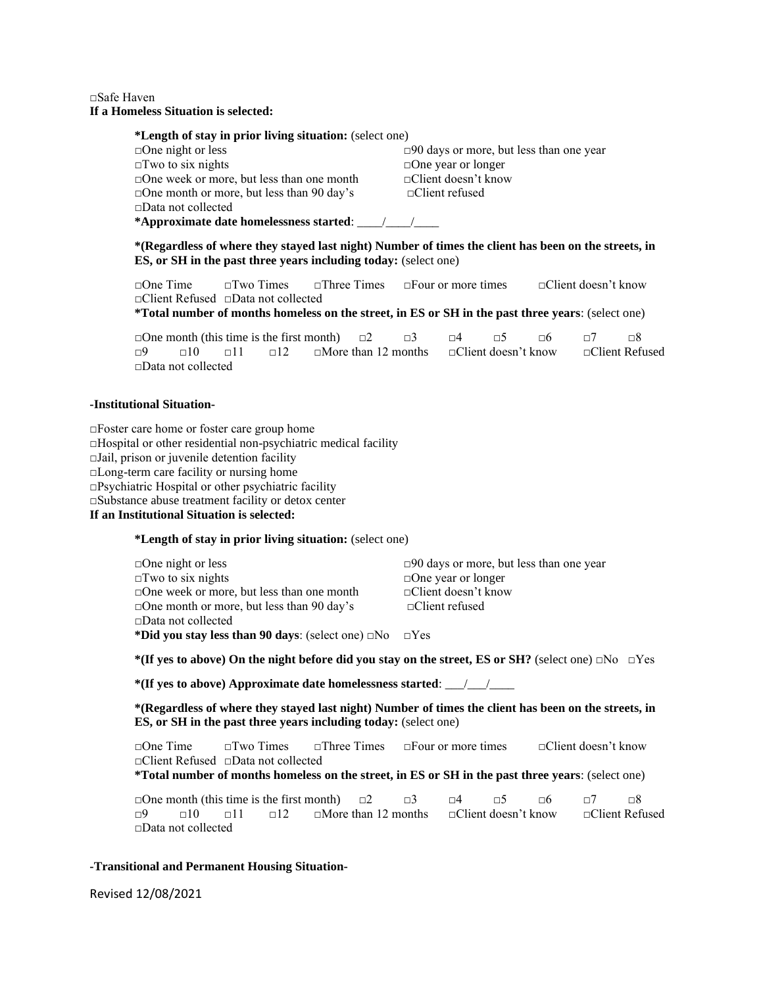## □Safe Haven **If a Homeless Situation is selected:**

| *Length of stay in prior living situation: (select one) |                                                   |  |  |  |  |
|---------------------------------------------------------|---------------------------------------------------|--|--|--|--|
| $\Box$ One night or less                                | $\square$ 90 days or more, but less than one year |  |  |  |  |
| $\square$ Two to six nights                             | $\Box$ One year or longer                         |  |  |  |  |
| $\square$ One week or more, but less than one month     | $\Box$ Client doesn't know                        |  |  |  |  |
| $\Box$ One month or more, but less than 90 day's        | $\Box$ Client refused                             |  |  |  |  |
| $\Box$ Data not collected                               |                                                   |  |  |  |  |
|                                                         |                                                   |  |  |  |  |

**\*(Regardless of where they stayed last night) Number of times the client has been on the streets, in ES, or SH in the past three years including today:** (select one)

□One Time □Two Times □Three Times □Four or more times □Client doesn't know □Client Refused □Data not collected

**\*Total number of months homeless on the street, in ES or SH in the past three years**: (select one)

□One month (this time is the first month)  $\Box 2$   $\Box 3$   $\Box 4$   $\Box 5$   $\Box 6$   $\Box 7$   $\Box 8$  $\Box$ 9  $\Box$ 10  $\Box$ 11  $\Box$ 12  $\Box$  More than 12 months  $\Box$ Client doesn't know  $\Box$ Client Refused □Data not collected

### **-Institutional Situation-**

□Foster care home or foster care group home  $\Box$ Hospital or other residential non-psychiatric medical facility □Jail, prison or juvenile detention facility □Long-term care facility or nursing home  $\Box$ Psychiatric Hospital or other psychiatric facility □Substance abuse treatment facility or detox center **If an Institutional Situation is selected:**

**\*Length of stay in prior living situation:** (select one)

| $\square$ 90 days or more, but less than one year                  |
|--------------------------------------------------------------------|
| $\Box$ One year or longer                                          |
| $\Box$ Client doesn't know                                         |
| $\Box$ Client refused                                              |
|                                                                    |
| *Did you stay less than 90 days: (select one) $\Box$ No $\Box$ Yes |
|                                                                    |

**\*(If yes to above) On the night before did you stay on the street, ES or SH?** (select one) □No □Yes

**\*(If yes to above) Approximate date homelessness started**: \_\_\_/\_\_\_/\_\_\_\_

**\*(Regardless of where they stayed last night) Number of times the client has been on the streets, in ES, or SH in the past three years including today:** (select one)

□One Time □Two Times □Three Times □Four or more times □Client doesn't know □Client Refused □Data not collected

**\*Total number of months homeless on the street, in ES or SH in the past three years**: (select one)

**□One month (this time is the first month)**  $\Box 2$   $\Box 3$   $\Box 4$   $\Box 5$   $\Box 6$   $\Box 7$   $\Box 8$ <br> $\Box 9$   $\Box 10$   $\Box 11$   $\Box 12$   $\Box$  More than 12 months  $\Box$  Client doesn't know  $\Box$  Client Refused  $\Box$ 9  $\Box$ 10  $\Box$ 11  $\Box$ 12  $\Box$  More than 12 months  $\Box$  Client doesn't know □Data not collected

# **-Transitional and Permanent Housing Situation-**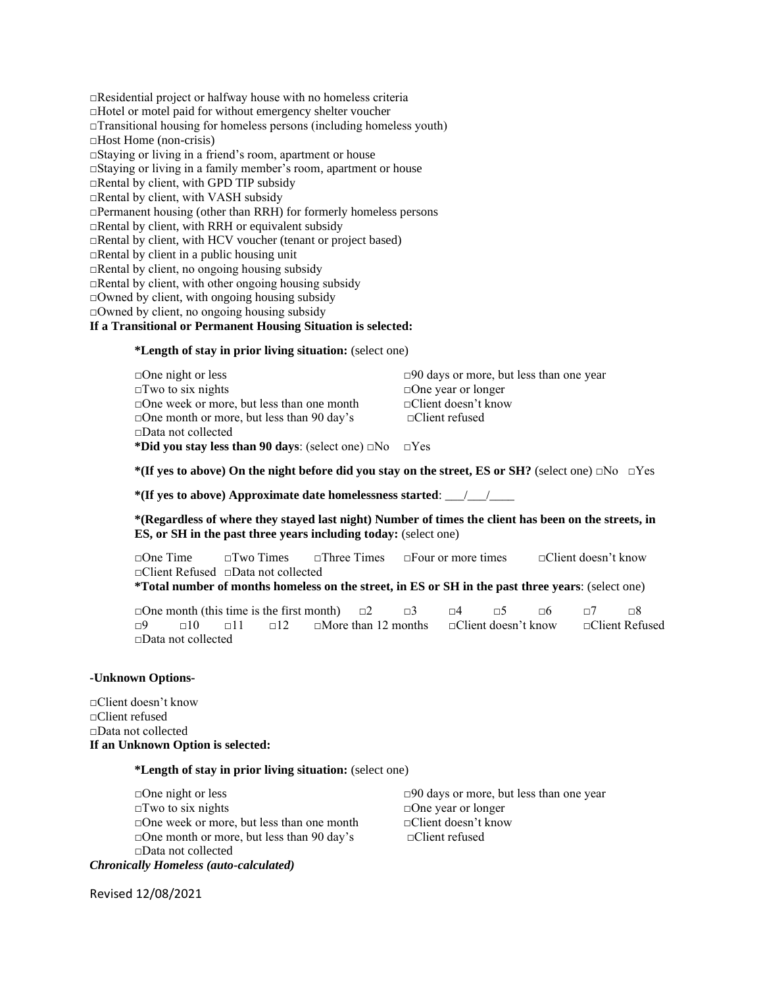□Residential project or halfway house with no homeless criteria □Hotel or motel paid for without emergency shelter voucher  $\Box$ Transitional housing for homeless persons (including homeless youth) □Host Home (non-crisis) □Staying or living in a friend's room, apartment or house □Staying or living in a family member's room, apartment or house □Rental by client, with GPD TIP subsidy □Rental by client, with VASH subsidy □Permanent housing (other than RRH) for formerly homeless persons □Rental by client, with RRH or equivalent subsidy □Rental by client, with HCV voucher (tenant or project based)  $\Box$ Rental by client in a public housing unit  $\Box$ Rental by client, no ongoing housing subsidy  $\Box$ Rental by client, with other ongoing housing subsidy □Owned by client, with ongoing housing subsidy  $\Box$ Owned by client, no ongoing housing subsidy **If a Transitional or Permanent Housing Situation is selected:**

**\*Length of stay in prior living situation:** (select one)

| $\Box$ One night or less                                           | $\square$ 90 days or more, but less than one year |
|--------------------------------------------------------------------|---------------------------------------------------|
| $\Box$ Two to six nights                                           | $\Box$ One year or longer                         |
| $\Box$ One week or more, but less than one month                   | $\Box$ Client doesn't know                        |
| $\Box$ One month or more, but less than 90 day's                   | $\Box$ Client refused                             |
| $\Box$ Data not collected                                          |                                                   |
| *Did you stay less than 90 days: (select one) $\Box$ No $\Box$ Yes |                                                   |

**\*(If yes to above) On the night before did you stay on the street, ES or SH?** (select one) □No □Yes

**\*(If yes to above) Approximate date homelessness started**: \_\_\_/\_\_\_/\_\_\_\_

**\*(Regardless of where they stayed last night) Number of times the client has been on the streets, in ES, or SH in the past three years including today:** (select one)

□One Time □Two Times □Three Times □Four or more times □Client doesn't know □Client Refused □Data not collected **\*Total number of months homeless on the street, in ES or SH in the past three years**: (select one)

□One month (this time is the first month)  $\Box 2$   $\Box 3$   $\Box 4$   $\Box 5$   $\Box 6$   $\Box 7$   $\Box 8$ □9 □10 □11 □12 □More than 12 months □Client doesn't know □Client Refused □Data not collected

#### **-Unknown Options-**

□Client doesn't know □Client refused □Data not collected **If an Unknown Option is selected:**

**\*Length of stay in prior living situation:** (select one)

□One night or less □90 days or more, but less than one year  $\square$ Two to six nights  $\square$ □One week or more, but less than one month □Client doesn't know □One month or more, but less than 90 day's □Client refused □Data not collected *Chronically Homeless (auto-calculated)*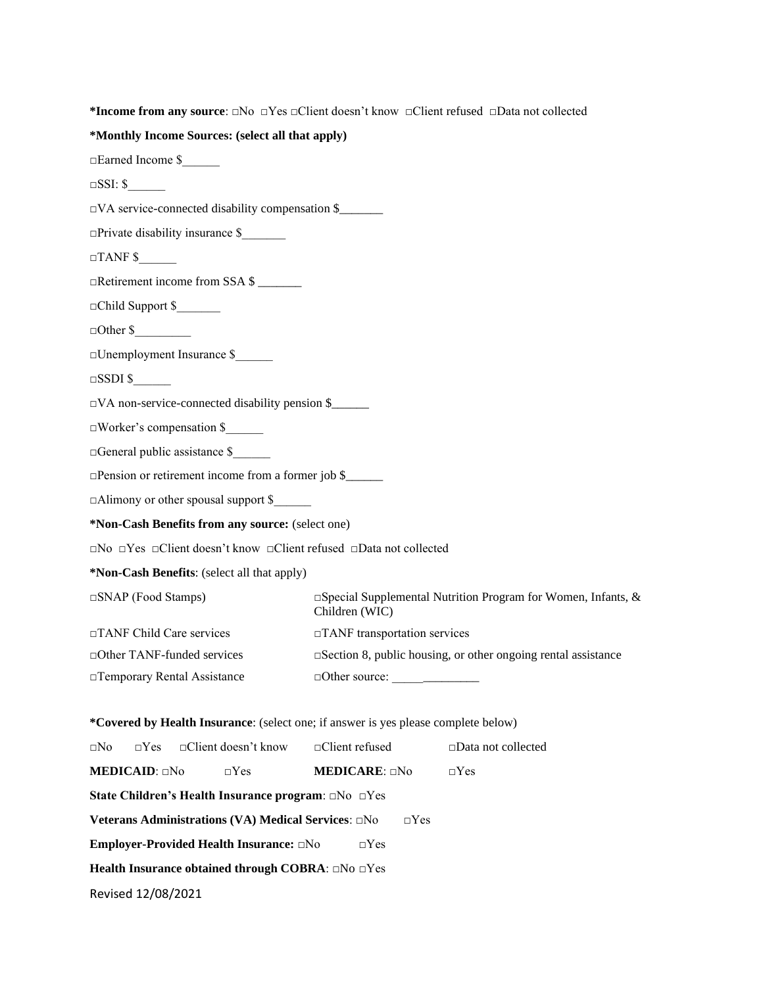**\*Income from any source**: □No □Yes □Client doesn't know □Client refused □Data not collected

#### **\*Monthly Income Sources: (select all that apply)**

□Earned Income \$\_\_\_\_\_\_

 $\square$ SSI: \$

□VA service-connected disability compensation \$\_\_\_\_\_\_\_

□Private disability insurance \$\_\_\_\_\_\_\_

 $\Box$ TANF \$

□Retirement income from SSA \$ \_\_\_\_\_\_\_

□Child Support \$\_\_\_\_\_\_\_

 $\Box$  Other \$

□Unemployment Insurance \$\_\_\_\_\_\_

 $\Box$ SSDI \$

□VA non-service-connected disability pension \$\_\_\_\_\_\_

□Worker's compensation \$\_\_\_\_\_\_

□General public assistance \$\_\_\_\_\_\_

□Pension or retirement income from a former job \$

□Alimony or other spousal support \$

**\*Non-Cash Benefits from any source:** (select one)

□No □Yes □Client doesn't know □Client refused □Data not collected

**\*Non-Cash Benefits**: (select all that apply)

□SNAP (Food Stamps) □Special Supplemental Nutrition Program for Women, Infants, & Children (WIC) □TANF Child Care services □TANF transportation services □Other TANF-funded services □Section 8, public housing, or other ongoing rental assistance □Temporary Rental Assistance □Other source: \_\_\_\_\_\_\_\_\_\_\_\_\_\_

**\*Covered by Health Insurance**: (select one; if answer is yes please complete below)

|                             | $\square$ No $\square$ Yes $\square$ Client doesn't know $\square$ Client refused |                            |            | $\square$ Data not collected |
|-----------------------------|-----------------------------------------------------------------------------------|----------------------------|------------|------------------------------|
| <b>MEDICAID</b> : $\Box$ No | $\neg Yes$                                                                        | <b>MEDICARE:</b> $\Box$ No |            | $\neg$ Yes                   |
|                             | <b>State Children's Health Insurance program:</b> $\Box$ No $\Box$ Yes            |                            |            |                              |
|                             | <b>Veterans Administrations (VA) Medical Services:</b> $\square$ No               |                            | $\Box$ Yes |                              |
|                             | <b>Employer-Provided Health Insurance:</b> $\Box$ No                              | $\neg$ Yes                 |            |                              |
|                             | <b>Health Insurance obtained through COBRA:</b> $\Box$ No $\Box$ Yes              |                            |            |                              |
| Revised 12/08/2021          |                                                                                   |                            |            |                              |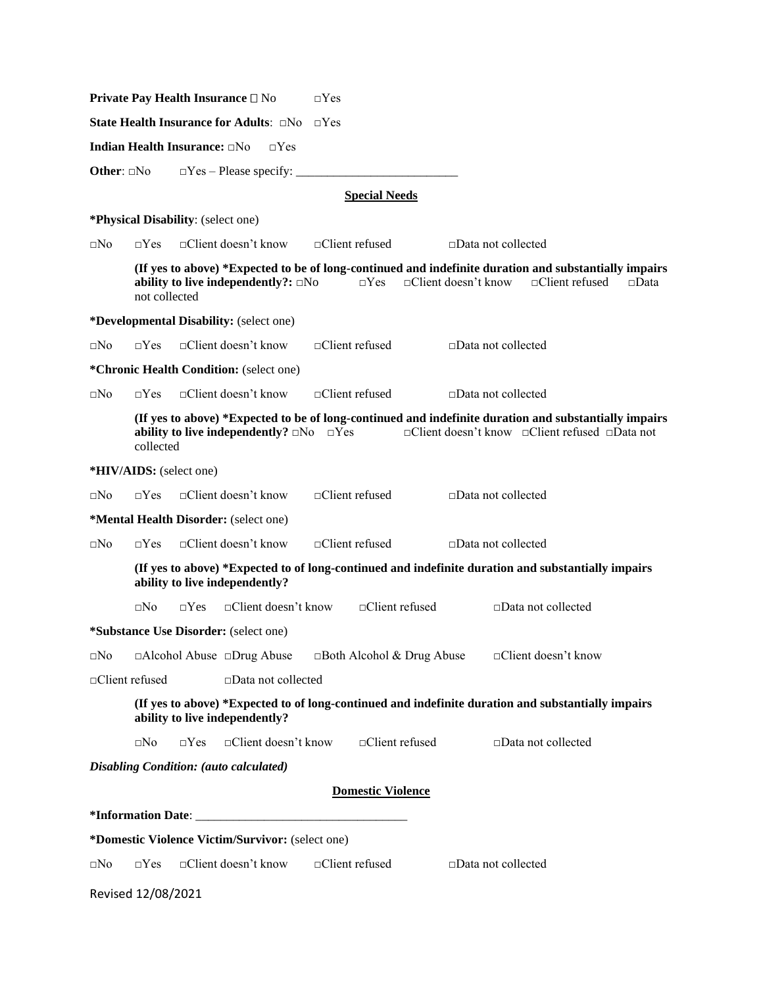|                     |                                    |            | Private Pay Health Insurance □ No                   | $\Box$ Yes |                                  |                 |                              |                                                                                                                                                         |             |
|---------------------|------------------------------------|------------|-----------------------------------------------------|------------|----------------------------------|-----------------|------------------------------|---------------------------------------------------------------------------------------------------------------------------------------------------------|-------------|
|                     |                                    |            | State Health Insurance for Adults: $\Box$ No        | $\Box$ Yes |                                  |                 |                              |                                                                                                                                                         |             |
|                     | Indian Health Insurance: DNo       |            | $\Box$ Yes                                          |            |                                  |                 |                              |                                                                                                                                                         |             |
| Other: $\square$ No |                                    |            | $\Box$ Yes – Please specify:                        |            |                                  |                 |                              |                                                                                                                                                         |             |
|                     |                                    |            |                                                     |            | <b>Special Needs</b>             |                 |                              |                                                                                                                                                         |             |
|                     | *Physical Disability: (select one) |            |                                                     |            |                                  |                 |                              |                                                                                                                                                         |             |
| ⊡No                 | $\Box$ Yes                         |            | □Client doesn't know                                |            | $\Box$ Client refused            |                 | $\Box$ Data not collected    |                                                                                                                                                         |             |
|                     | not collected                      |            | ability to live independently?: $\Box$ No           |            | $\Box$ Yes                       |                 | $\Box$ Client doesn't know   | (If yes to above) *Expected to be of long-continued and indefinite duration and substantially impairs<br>$\Box$ Client refused                          | $\Box$ Data |
|                     |                                    |            | *Developmental Disability: (select one)             |            |                                  |                 |                              |                                                                                                                                                         |             |
| ⊡No                 | $\neg Yes$                         |            | $\Box$ Client doesn't know                          |            | $\Box$ Client refused            |                 | $\square$ Data not collected |                                                                                                                                                         |             |
|                     |                                    |            | *Chronic Health Condition: (select one)             |            |                                  |                 |                              |                                                                                                                                                         |             |
| $\sqcap$ No         | $\neg Yes$                         |            | $\Box$ Client doesn't know                          |            | $\Box$ Client refused            |                 | $\Box$ Data not collected    |                                                                                                                                                         |             |
|                     | collected                          |            | ability to live independently? $\Box$ No $\Box$ Yes |            |                                  |                 |                              | (If yes to above) *Expected to be of long-continued and indefinite duration and substantially impairs<br>□Client doesn't know □Client refused □Data not |             |
|                     | *HIV/AIDS: (select one)            |            |                                                     |            |                                  |                 |                              |                                                                                                                                                         |             |
| ⊡No                 | $\Box$ Yes                         |            | □Client doesn't know                                |            | $\Box$ Client refused            |                 | $\square$ Data not collected |                                                                                                                                                         |             |
|                     |                                    |            | *Mental Health Disorder: (select one)               |            |                                  |                 |                              |                                                                                                                                                         |             |
| ⊡No                 | $\Box$ Yes                         |            | $\Box$ Client doesn't know                          |            | $\Box$ Client refused            |                 | $\square$ Data not collected |                                                                                                                                                         |             |
|                     |                                    |            | ability to live independently?                      |            |                                  |                 |                              | (If yes to above) *Expected to of long-continued and indefinite duration and substantially impairs                                                      |             |
|                     | $\square$ No                       | $\Box$ Yes | □Client doesn't know                                |            | $\Box$ Client refused            |                 |                              | □Data not collected                                                                                                                                     |             |
|                     |                                    |            | <i>*Substance Use Disorder: (select one)</i>        |            |                                  |                 |                              |                                                                                                                                                         |             |
| $\square$ No        |                                    |            | $\Box$ Alcohol Abuse $\Box$ Drug Abuse              |            | $\Box$ Both Alcohol & Drug Abuse |                 |                              | □Client doesn't know                                                                                                                                    |             |
|                     | □Client refused                    |            | □Data not collected                                 |            |                                  |                 |                              |                                                                                                                                                         |             |
|                     |                                    |            | ability to live independently?                      |            |                                  |                 |                              | (If yes to above) *Expected to of long-continued and indefinite duration and substantially impairs                                                      |             |
|                     | $\square$ No                       | $\Box$ Yes | $\Box$ Client doesn't know                          |            |                                  | □Client refused |                              | □Data not collected                                                                                                                                     |             |
|                     |                                    |            | Disabling Condition: (auto calculated)              |            |                                  |                 |                              |                                                                                                                                                         |             |
|                     |                                    |            |                                                     |            | <b>Domestic Violence</b>         |                 |                              |                                                                                                                                                         |             |
|                     |                                    |            |                                                     |            |                                  |                 |                              |                                                                                                                                                         |             |
|                     |                                    |            | *Domestic Violence Victim/Survivor: (select one)    |            |                                  |                 |                              |                                                                                                                                                         |             |
| $\square$ No        | $\Box$ Yes                         |            | □Client doesn't know                                |            | □Client refused                  |                 | $\square$ Data not collected |                                                                                                                                                         |             |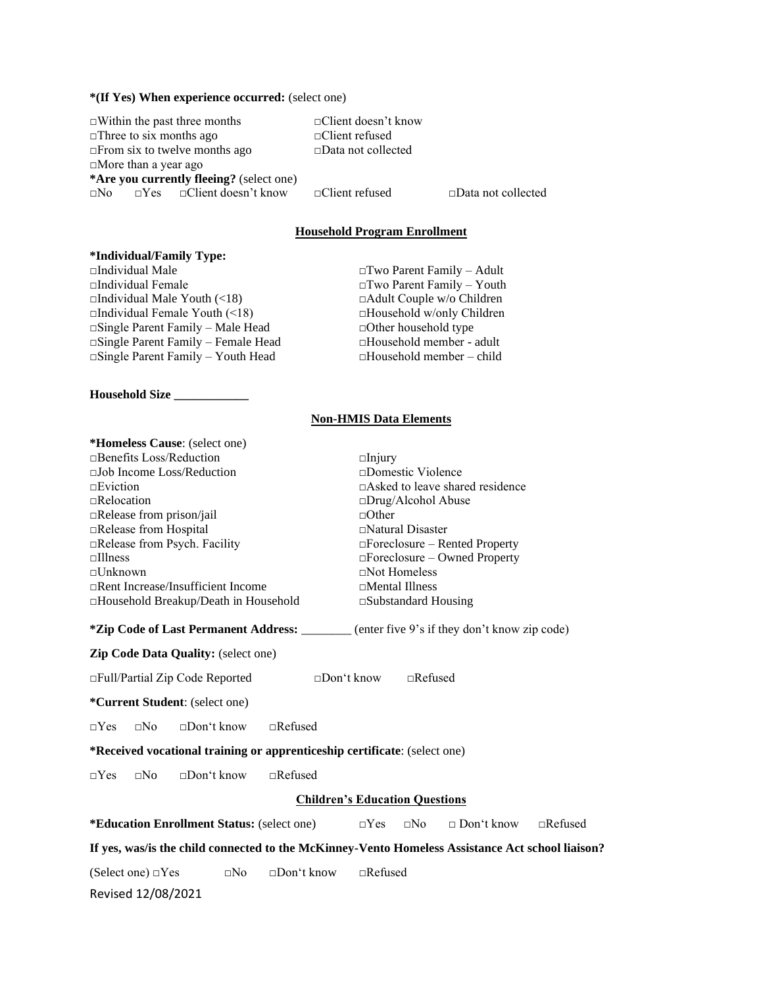#### **\*(If Yes) When experience occurred:** (select one)

| $\Box$ Within the past three months             | $\Box$ Client doesn't know   |                           |
|-------------------------------------------------|------------------------------|---------------------------|
| $\Box$ Three to six months ago                  | $\Box$ Client refused        |                           |
| $\Box$ From six to twelve months ago            | $\square$ Data not collected |                           |
| $\Box$ More than a year ago                     |                              |                           |
| *Are you currently fleeing? (select one)        |                              |                           |
| $\Box$ No $\Box$ Yes $\Box$ Client doesn't know | $\Box$ Client refused        | $\Box$ Data not collected |

# **Household Program Enrollment**

# **\*Individual/Family Type:**

□Individual Female □Two Parent Family – Youth □Individual Male Youth (<18) □Adult Couple w/o Children □Individual Female Youth (<18) □Household w/only Children □Single Parent Family – Male Head □Other household type **□Single Parent Family – Female Head** □Household member - adult □Single Parent Family – Youth Head □Household member – child  $\Box$ Single Parent Family – Youth Head

**Household Size \_\_\_\_\_\_\_\_\_\_\_\_**

□Two Parent Family – Adult

#### **Non-HMIS Data Elements**

| *Homeless Cause: (select one)                                                                                                                                                            |                                        |  |  |  |
|------------------------------------------------------------------------------------------------------------------------------------------------------------------------------------------|----------------------------------------|--|--|--|
| $\Box$ Benefits Loss/Reduction                                                                                                                                                           | $\Box$ Injury                          |  |  |  |
| $\Box$ Job Income Loss/Reduction                                                                                                                                                         | $\Box$ Domestic Violence               |  |  |  |
| $\Box$ Eviction                                                                                                                                                                          | $\Box$ Asked to leave shared residence |  |  |  |
| $\Box$ Relocation                                                                                                                                                                        | $\square$ Drug/Alcohol Abuse           |  |  |  |
| $\Box$ Release from prison/jail                                                                                                                                                          | $\Box$ Other                           |  |  |  |
| Release from Hospital                                                                                                                                                                    | $\Box$ Natural Disaster                |  |  |  |
| □Release from Psych. Facility                                                                                                                                                            | □Foreclosure – Rented Property         |  |  |  |
| $\Box$ Illness                                                                                                                                                                           | $\Box$ Foreclosure – Owned Property    |  |  |  |
| $\neg$ Unknown                                                                                                                                                                           | $\Box$ Not Homeless                    |  |  |  |
| $\Box$ Rent Increase/Insufficient Income                                                                                                                                                 | $\Box$ Mental Illness                  |  |  |  |
| □Household Breakup/Death in Household                                                                                                                                                    | $\square$ Substandard Housing          |  |  |  |
| <b>*Zip Code of Last Permanent Address:</b> ________ (enter five 9's if they don't know zip code)<br><b>Zip Code Data Quality:</b> (select one)<br>$\Box$ Full/Partial Zip Code Reported | $\Box$ Refused<br>$\Box$ Don't know    |  |  |  |
|                                                                                                                                                                                          |                                        |  |  |  |
| <i>*Current Student:</i> (select one)                                                                                                                                                    |                                        |  |  |  |
| $\Box$ Don't know<br>$\Box$ Refused<br>$\Box$ No<br>$\neg Yes$                                                                                                                           |                                        |  |  |  |
| *Received vocational training or apprenticeship certificate: (select one)                                                                                                                |                                        |  |  |  |
| $\Box$ Don't know<br>$\sqcap$ Refused<br>$\Box$ No<br>$\neg Yes$                                                                                                                         |                                        |  |  |  |
|                                                                                                                                                                                          | <b>Children's Education Questions</b>  |  |  |  |

**\*Education Enrollment Status:** (select one) □Yes □No □ Don't know □Refused

**If yes, was/is the child connected to the McKinney-Vento Homeless Assistance Act school liaison?**

(Select one)  $\Box$ Yes  $\Box$ No  $\Box$ Don't know  $\Box$ Refused